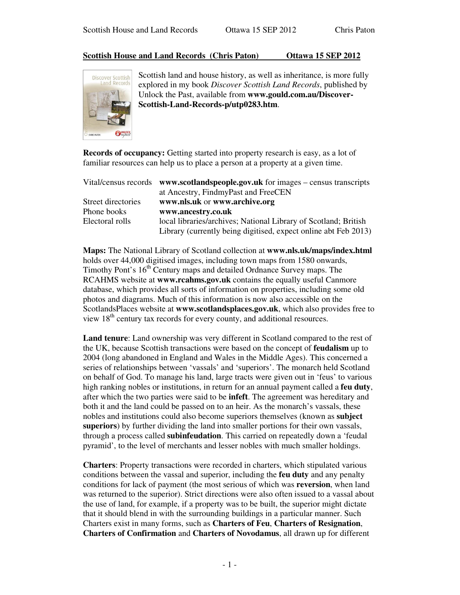## **Scottish House and Land Records (Chris Paton) Ottawa 15 SEP 2012**



Scottish land and house history, as well as inheritance, is more fully explored in my book *Discover Scottish Land Records*, published by Unlock the Past, available from **www.gould.com.au/Discover-Scottish-Land-Records-p/utp0283.htm**.

**Records of occupancy:** Getting started into property research is easy, as a lot of familiar resources can help us to place a person at a property at a given time.

|                    | Vital/census records $www.scotlandspeople.gov.uk$ for images – census transcripts |
|--------------------|-----------------------------------------------------------------------------------|
|                    | at Ancestry, FindmyPast and FreeCEN                                               |
| Street directories | www.nls.uk or www.archive.org                                                     |
| Phone books        | www.ancestry.co.uk                                                                |
| Electoral rolls    | local libraries/archives; National Library of Scotland; British                   |
|                    | Library (currently being digitised, expect online abt Feb 2013)                   |

**Maps:** The National Library of Scotland collection at **www.nls.uk/maps/index.html** holds over 44,000 digitised images, including town maps from 1580 onwards, Timothy Pont's 16<sup>th</sup> Century maps and detailed Ordnance Survey maps. The RCAHMS website at **www.rcahms.gov.uk** contains the equally useful Canmore database, which provides all sorts of information on properties, including some old photos and diagrams. Much of this information is now also accessible on the ScotlandsPlaces website at **www.scotlandsplaces.gov.uk**, which also provides free to view 18<sup>th</sup> century tax records for every county, and additional resources.

**Land tenure**: Land ownership was very different in Scotland compared to the rest of the UK, because Scottish transactions were based on the concept of **feudalism** up to 2004 (long abandoned in England and Wales in the Middle Ages). This concerned a series of relationships between 'vassals' and 'superiors'. The monarch held Scotland on behalf of God. To manage his land, large tracts were given out in 'feus' to various high ranking nobles or institutions, in return for an annual payment called a **feu duty**, after which the two parties were said to be **infeft**. The agreement was hereditary and both it and the land could be passed on to an heir. As the monarch's vassals, these nobles and institutions could also become superiors themselves (known as **subject superiors**) by further dividing the land into smaller portions for their own vassals, through a process called **subinfeudation**. This carried on repeatedly down a 'feudal pyramid', to the level of merchants and lesser nobles with much smaller holdings.

**Charters**: Property transactions were recorded in charters, which stipulated various conditions between the vassal and superior, including the **feu duty** and any penalty conditions for lack of payment (the most serious of which was **reversion**, when land was returned to the superior). Strict directions were also often issued to a vassal about the use of land, for example, if a property was to be built, the superior might dictate that it should blend in with the surrounding buildings in a particular manner. Such Charters exist in many forms, such as **Charters of Feu**, **Charters of Resignation**, **Charters of Confirmation** and **Charters of Novodamus**, all drawn up for different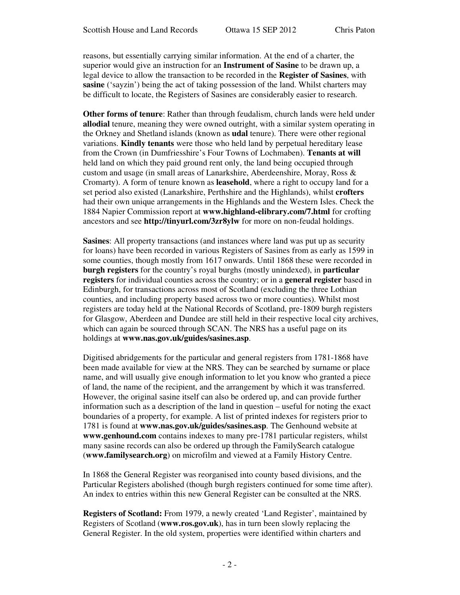reasons, but essentially carrying similar information. At the end of a charter, the superior would give an instruction for an **Instrument of Sasine** to be drawn up, a legal device to allow the transaction to be recorded in the **Register of Sasines**, with **sasine** ('sayzin') being the act of taking possession of the land. Whilst charters may be difficult to locate, the Registers of Sasines are considerably easier to research.

**Other forms of tenure**: Rather than through feudalism, church lands were held under **allodial** tenure, meaning they were owned outright, with a similar system operating in the Orkney and Shetland islands (known as **udal** tenure). There were other regional variations. **Kindly tenants** were those who held land by perpetual hereditary lease from the Crown (in Dumfriesshire's Four Towns of Lochmaben). **Tenants at will** held land on which they paid ground rent only, the land being occupied through custom and usage (in small areas of Lanarkshire, Aberdeenshire, Moray, Ross & Cromarty). A form of tenure known as **leasehold**, where a right to occupy land for a set period also existed (Lanarkshire, Perthshire and the Highlands), whilst **crofters** had their own unique arrangements in the Highlands and the Western Isles. Check the 1884 Napier Commission report at **www.highland-elibrary.com/7.html** for crofting ancestors and see **http://tinyurl.com/3zr8ylw** for more on non-feudal holdings.

**Sasines**: All property transactions (and instances where land was put up as security for loans) have been recorded in various Registers of Sasines from as early as 1599 in some counties, though mostly from 1617 onwards. Until 1868 these were recorded in **burgh registers** for the country's royal burghs (mostly unindexed), in **particular registers** for individual counties across the country; or in a **general register** based in Edinburgh, for transactions across most of Scotland (excluding the three Lothian counties, and including property based across two or more counties). Whilst most registers are today held at the National Records of Scotland, pre-1809 burgh registers for Glasgow, Aberdeen and Dundee are still held in their respective local city archives, which can again be sourced through SCAN. The NRS has a useful page on its holdings at **www.nas.gov.uk/guides/sasines.asp**.

Digitised abridgements for the particular and general registers from 1781-1868 have been made available for view at the NRS. They can be searched by surname or place name, and will usually give enough information to let you know who granted a piece of land, the name of the recipient, and the arrangement by which it was transferred. However, the original sasine itself can also be ordered up, and can provide further information such as a description of the land in question – useful for noting the exact boundaries of a property, for example. A list of printed indexes for registers prior to 1781 is found at **www.nas.gov.uk/guides/sasines.asp**. The Genhound website at **www.genhound.com** contains indexes to many pre-1781 particular registers, whilst many sasine records can also be ordered up through the FamilySearch catalogue (**www.familysearch.org**) on microfilm and viewed at a Family History Centre.

In 1868 the General Register was reorganised into county based divisions, and the Particular Registers abolished (though burgh registers continued for some time after). An index to entries within this new General Register can be consulted at the NRS.

**Registers of Scotland:** From 1979, a newly created 'Land Register', maintained by Registers of Scotland (**www.ros.gov.uk**), has in turn been slowly replacing the General Register. In the old system, properties were identified within charters and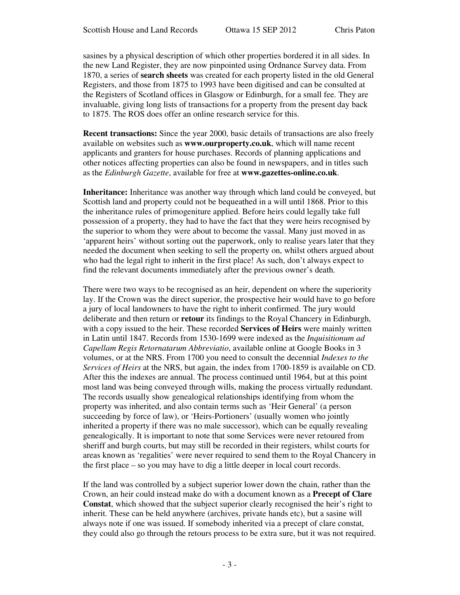sasines by a physical description of which other properties bordered it in all sides. In the new Land Register, they are now pinpointed using Ordnance Survey data. From 1870, a series of **search sheets** was created for each property listed in the old General Registers, and those from 1875 to 1993 have been digitised and can be consulted at the Registers of Scotland offices in Glasgow or Edinburgh, for a small fee. They are invaluable, giving long lists of transactions for a property from the present day back to 1875. The ROS does offer an online research service for this.

**Recent transactions:** Since the year 2000, basic details of transactions are also freely available on websites such as **www.ourproperty.co.uk**, which will name recent applicants and granters for house purchases. Records of planning applications and other notices affecting properties can also be found in newspapers, and in titles such as the *Edinburgh Gazette*, available for free at **www.gazettes-online.co.uk**.

**Inheritance:** Inheritance was another way through which land could be conveyed, but Scottish land and property could not be bequeathed in a will until 1868. Prior to this the inheritance rules of primogeniture applied. Before heirs could legally take full possession of a property, they had to have the fact that they were heirs recognised by the superior to whom they were about to become the vassal. Many just moved in as 'apparent heirs' without sorting out the paperwork, only to realise years later that they needed the document when seeking to sell the property on, whilst others argued about who had the legal right to inherit in the first place! As such, don't always expect to find the relevant documents immediately after the previous owner's death.

There were two ways to be recognised as an heir, dependent on where the superiority lay. If the Crown was the direct superior, the prospective heir would have to go before a jury of local landowners to have the right to inherit confirmed. The jury would deliberate and then return or **retour** its findings to the Royal Chancery in Edinburgh, with a copy issued to the heir. These recorded **Services of Heirs** were mainly written in Latin until 1847. Records from 1530-1699 were indexed as the *Inquisitionum ad Capellam Regis Retornatarum Abbreviatio*, available online at Google Books in 3 volumes, or at the NRS. From 1700 you need to consult the decennial *Indexes to the Services of Heirs* at the NRS, but again, the index from 1700-1859 is available on CD. After this the indexes are annual. The process continued until 1964, but at this point most land was being conveyed through wills, making the process virtually redundant. The records usually show genealogical relationships identifying from whom the property was inherited, and also contain terms such as 'Heir General' (a person succeeding by force of law), or 'Heirs-Portioners' (usually women who jointly inherited a property if there was no male successor), which can be equally revealing genealogically. It is important to note that some Services were never retoured from sheriff and burgh courts, but may still be recorded in their registers, whilst courts for areas known as 'regalities' were never required to send them to the Royal Chancery in the first place – so you may have to dig a little deeper in local court records.

If the land was controlled by a subject superior lower down the chain, rather than the Crown, an heir could instead make do with a document known as a **Precept of Clare Constat**, which showed that the subject superior clearly recognised the heir's right to inherit. These can be held anywhere (archives, private hands etc), but a sasine will always note if one was issued. If somebody inherited via a precept of clare constat, they could also go through the retours process to be extra sure, but it was not required.